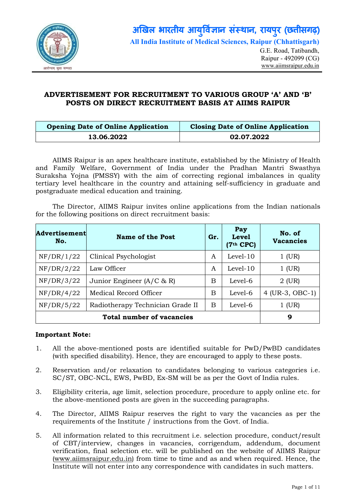

# ADVERTISEMENT FOR RECRUITMENT TO VARIOUS GROUP 'A' AND 'B' POSTS ON DIRECT RECRUITMENT BASIS AT AIIMS RAIPUR

| <b>Opening Date of Online Application</b> | <b>Closing Date of Online Application</b> |
|-------------------------------------------|-------------------------------------------|
| 13.06.2022                                | 02.07.2022                                |

AIIMS Raipur is an apex healthcare institute, established by the Ministry of Health and Family Welfare, Government of India under the Pradhan Mantri Swasthya Suraksha Yojna (PMSSY) with the aim of correcting regional imbalances in quality tertiary level healthcare in the country and attaining self-sufficiency in graduate and postgraduate medical education and training.

The Director, AIIMS Raipur invites online applications from the Indian nationals for the following positions on direct recruitment basis:

| <b>Advertisement</b><br>No. | <b>Name of the Post</b>          | Gr. | Pay<br><b>Level</b><br>$(7th$ CPC) | No. of<br><b>Vacancies</b> |
|-----------------------------|----------------------------------|-----|------------------------------------|----------------------------|
| NF/DR/1/22                  | Clinical Psychologist            | A   | $Level-10$                         | $1$ (UR)                   |
| NF/DR/2/22                  | Law Officer                      |     | $Level-10$                         | $1$ (UR)                   |
| NF/DR/3/22                  | Junior Engineer $(A/C \& R)$     | B   | Level-6                            | 2 (UR)                     |
| NF/DR/4/22                  | Medical Record Officer           | B   | Level-6                            | 4 (UR-3, OBC-1)            |
| NF/DR/5/22                  | Radiotherapy Technician Grade II | B   | Level-6                            | $1$ (UR)                   |
|                             | 9                                |     |                                    |                            |

### Important Note:

- 1. All the above-mentioned posts are identified suitable for PwD/PwBD candidates (with specified disability). Hence, they are encouraged to apply to these posts.
- 2. Reservation and/or relaxation to candidates belonging to various categories i.e. SC/ST, OBC-NCL, EWS, PwBD, Ex-SM will be as per the Govt of India rules.
- 3. Eligibility criteria, age limit, selection procedure, procedure to apply online etc. for the above-mentioned posts are given in the succeeding paragraphs.
- 4. The Director, AIIMS Raipur reserves the right to vary the vacancies as per the requirements of the Institute / instructions from the Govt. of India.
- 5. All information related to this recruitment i.e. selection procedure, conduct/result of CBT/interview, changes in vacancies, corrigendum, addendum, document verification, final selection etc. will be published on the website of AIIMS Raipur (www.aiimsraipur.edu.in) from time to time and as and when required. Hence, the Institute will not enter into any correspondence with candidates in such matters.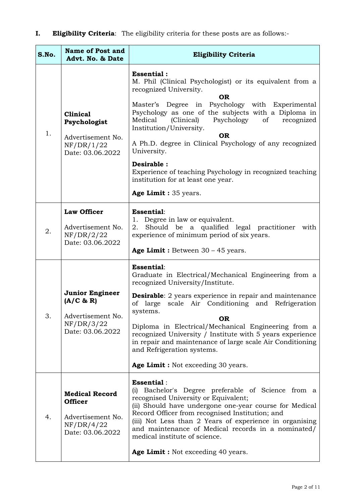I. Eligibility Criteria: The eligibility criteria for these posts are as follows:-

| S.No. | <b>Name of Post and</b><br>Advt. No. & Date                                                    | <b>Eligibility Criteria</b>                                                                                                                                                                                                                                                                                                                                                                                                                                                                                                 |  |
|-------|------------------------------------------------------------------------------------------------|-----------------------------------------------------------------------------------------------------------------------------------------------------------------------------------------------------------------------------------------------------------------------------------------------------------------------------------------------------------------------------------------------------------------------------------------------------------------------------------------------------------------------------|--|
| 1.    | <b>Clinical</b><br>Psychologist<br>Advertisement No.<br>NF/DR/1/22<br>Date: 03.06.2022         | <b>Essential:</b><br>M. Phil (Clinical Psychologist) or its equivalent from a<br>recognized University.<br><b>OR</b><br>Master's Degree in Psychology with Experimental<br>Psychology as one of the subjects with a Diploma in<br>Medical<br>(Clinical)<br>Psychology<br>of<br>recognized<br>Institution/University.<br><b>OR</b><br>A Ph.D. degree in Clinical Psychology of any recognized<br>University.<br>Desirable:<br>Experience of teaching Psychology in recognized teaching<br>institution for at least one year. |  |
|       |                                                                                                | Age Limit : 35 years.                                                                                                                                                                                                                                                                                                                                                                                                                                                                                                       |  |
| 2.    | <b>Law Officer</b><br>Advertisement No.<br>NF/DR/2/22<br>Date: 03.06.2022                      | <b>Essential:</b><br>1. Degree in law or equivalent.<br>Should be a qualified legal practitioner with<br>2.<br>experience of minimum period of six years.<br>Age Limit : Between $30 - 45$ years.                                                                                                                                                                                                                                                                                                                           |  |
| 3.    | <b>Junior Engineer</b><br>(A/C & R)<br>Advertisement No.<br>NF/DR/3/22<br>Date: 03.06.2022     | <b>Essential:</b><br>Graduate in Electrical/Mechanical Engineering from a<br>recognized University/Institute.<br><b>Desirable:</b> 2 years experience in repair and maintenance<br>large scale Air Conditioning and Refrigeration<br>of<br>systems.<br><b>OR</b><br>Diploma in Electrical/Mechanical Engineering from a<br>recognized University / Institute with 5 years experience<br>in repair and maintenance of large scale Air Conditioning<br>and Refrigeration systems.<br>Age Limit : Not exceeding 30 years.      |  |
| 4.    | <b>Medical Record</b><br><b>Officer</b><br>Advertisement No.<br>NF/DR/4/22<br>Date: 03.06.2022 | <b>Essential:</b><br>Bachelor's Degree preferable of Science from a<br>(i)<br>recognised University or Equivalent;<br>(ii) Should have undergone one-year course for Medical<br>Record Officer from recognised Institution; and<br>(iii) Not Less than 2 Years of experience in organising<br>and maintenance of Medical records in a nominated/<br>medical institute of science.<br>Age Limit : Not exceeding 40 years.                                                                                                    |  |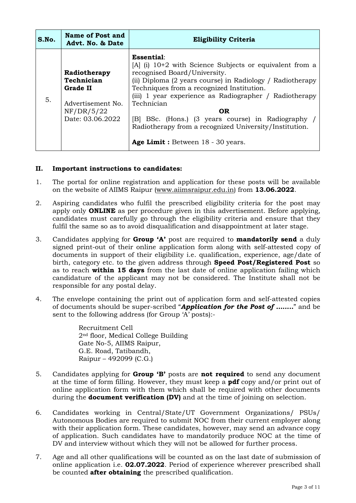| S.No. | Name of Post and<br>Advt. No. & Date                                                          | <b>Eligibility Criteria</b>                                                                                                                                                                                                                                                                                                                                                                                                                               |  |
|-------|-----------------------------------------------------------------------------------------------|-----------------------------------------------------------------------------------------------------------------------------------------------------------------------------------------------------------------------------------------------------------------------------------------------------------------------------------------------------------------------------------------------------------------------------------------------------------|--|
| 5.    | Radiotherapy<br>Technician<br>Grade II<br>Advertisement No.<br>NF/DR/5/22<br>Date: 03.06.2022 | Essential:<br>$[A]$ (i) 10+2 with Science Subjects or equivalent from a<br>recognised Board/University.<br>(ii) Diploma (2 years course) in Radiology / Radiotherapy<br>Techniques from a recognized Institution.<br>(iii) 1 year experience as Radiographer / Radiotherapy<br>Technician<br><b>OR</b><br>[B] BSc. (Hons.) (3 years course) in Radiography<br>Radiotherapy from a recognized University/Institution.<br>Age Limit: Between 18 - 30 years. |  |

### II. Important instructions to candidates:

- 1. The portal for online registration and application for these posts will be available on the website of AIIMS Raipur (www.aiimsraipur.edu.in) from 13.06.2022.
- 2. Aspiring candidates who fulfil the prescribed eligibility criteria for the post may apply only ONLINE as per procedure given in this advertisement. Before applying, candidates must carefully go through the eligibility criteria and ensure that they fulfil the same so as to avoid disqualification and disappointment at later stage.
- 3. Candidates applying for **Group 'A'** post are required to **mandatorily send** a duly signed print-out of their online application form along with self-attested copy of documents in support of their eligibility i.e. qualification, experience, age/date of birth, category etc. to the given address through **Speed Post/Registered Post** so as to reach within 15 days from the last date of online application failing which candidature of the applicant may not be considered. The Institute shall not be responsible for any postal delay.
- 4. The envelope containing the print out of application form and self-attested copies of documents should be super-scribed "*Application for the Post of ……..*" and be sent to the following address (for Group 'A' posts):-

Recruitment Cell 2nd floor, Medical College Building Gate No-5, AIIMS Raipur, G.E. Road, Tatibandh, Raipur – 492099 (C.G.)

- 5. Candidates applying for **Group 'B'** posts are **not required** to send any document at the time of form filling. However, they must keep a pdf copy and/or print out of online application form with them which shall be required with other documents during the **document verification (DV)** and at the time of joining on selection.
- 6. Candidates working in Central/State/UT Government Organizations/ PSUs/ Autonomous Bodies are required to submit NOC from their current employer along with their application form. These candidates, however, may send an advance copy of application. Such candidates have to mandatorily produce NOC at the time of DV and interview without which they will not be allowed for further process.
- 7. Age and all other qualifications will be counted as on the last date of submission of online application i.e. 02.07.2022. Period of experience wherever prescribed shall be counted **after obtaining** the prescribed qualification.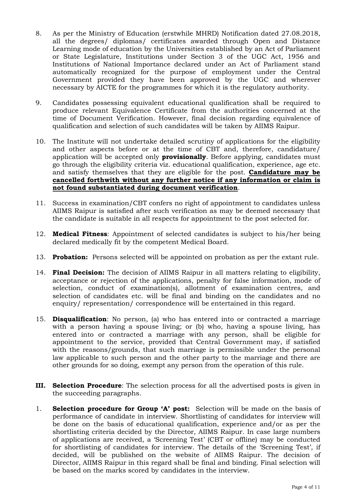- 8. As per the Ministry of Education (erstwhile MHRD) Notification dated 27.08.2018, all the degrees/ diplomas/ certificates awarded through Open and Distance Learning mode of education by the Universities established by an Act of Parliament or State Legislature, Institutions under Section 3 of the UGC Act, 1956 and Institutions of National Importance declared under an Act of Parliament stand automatically recognized for the purpose of employment under the Central Government provided they have been approved by the UGC and wherever necessary by AICTE for the programmes for which it is the regulatory authority.
- 9. Candidates possessing equivalent educational qualification shall be required to produce relevant Equivalence Certificate from the authorities concerned at the time of Document Verification. However, final decision regarding equivalence of qualification and selection of such candidates will be taken by AIIMS Raipur.
- 10. The Institute will not undertake detailed scrutiny of applications for the eligibility and other aspects before or at the time of CBT and, therefore, candidature/ application will be accepted only **provisionally**. Before applying, candidates must go through the eligibility criteria viz. educational qualification, experience, age etc. and satisfy themselves that they are eligible for the post. **Candidature may be** cancelled forthwith without any further notice if any information or claim is not found substantiated during document verification.
- 11. Success in examination/CBT confers no right of appointment to candidates unless AIIMS Raipur is satisfied after such verification as may be deemed necessary that the candidate is suitable in all respects for appointment to the post selected for.
- 12. **Medical Fitness**: Appointment of selected candidates is subject to his/her being declared medically fit by the competent Medical Board.
- 13. Probation: Persons selected will be appointed on probation as per the extant rule.
- 14. Final Decision: The decision of AIIMS Raipur in all matters relating to eligibility, acceptance or rejection of the applications, penalty for false information, mode of selection, conduct of examination(s), allotment of examination centres, and selection of candidates etc. will be final and binding on the candidates and no enquiry/ representation/ correspondence will be entertained in this regard.
- 15. Disqualification: No person, (a) who has entered into or contracted a marriage with a person having a spouse living; or (b) who, having a spouse living, has entered into or contracted a marriage with any person, shall be eligible for appointment to the service, provided that Central Government may, if satisfied with the reasons/grounds, that such marriage is permissible under the personal law applicable to such person and the other party to the marriage and there are other grounds for so doing, exempt any person from the operation of this rule.
- **III.** Selection Procedure: The selection process for all the advertised posts is given in the succeeding paragraphs.
- 1. Selection procedure for Group 'A' post: Selection will be made on the basis of performance of candidate in interview. Shortlisting of candidates for interview will be done on the basis of educational qualification, experience and/or as per the shortlisting criteria decided by the Director, AIIMS Raipur. In case large numbers of applications are received, a 'Screening Test' (CBT or offline) may be conducted for shortlisting of candidates for interview. The details of the 'Screening Test', if decided, will be published on the website of AIIMS Raipur. The decision of Director, AIIMS Raipur in this regard shall be final and binding. Final selection will be based on the marks scored by candidates in the interview.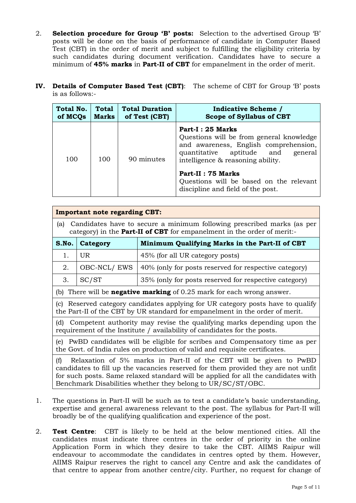- 2. Selection procedure for Group 'B' posts: Selection to the advertised Group 'B' posts will be done on the basis of performance of candidate in Computer Based Test (CBT) in the order of merit and subject to fulfilling the eligibility criteria by such candidates during document verification. Candidates have to secure a minimum of 45% marks in Part-II of CBT for empanelment in the order of merit.
- IV. Details of Computer Based Test (CBT): The scheme of CBT for Group 'B' posts is as follows:-

| Total No. | <b>Total</b> | <b>Total Duration</b> | <b>Indicative Scheme</b> /                                                                                                                                                                                                                                                               |
|-----------|--------------|-----------------------|------------------------------------------------------------------------------------------------------------------------------------------------------------------------------------------------------------------------------------------------------------------------------------------|
| of MCQs   | <b>Marks</b> | of Test (CBT)         | <b>Scope of Syllabus of CBT</b>                                                                                                                                                                                                                                                          |
| 100       | 100          | 90 minutes            | Part-I: 25 Marks<br>Questions will be from general knowledge<br>and awareness, English comprehension,<br>quantitative aptitude and<br>general<br>intelligence & reasoning ability.<br>Part-II : 75 Marks<br>Questions will be based on the relevant<br>discipline and field of the post. |

| <b>Important note regarding CBT:</b>                                                                                                                                                                                                                                                                               |                                                                      |                                                                                 |  |
|--------------------------------------------------------------------------------------------------------------------------------------------------------------------------------------------------------------------------------------------------------------------------------------------------------------------|----------------------------------------------------------------------|---------------------------------------------------------------------------------|--|
| Candidates have to secure a minimum following prescribed marks (as per<br>(a)<br>category) in the <b>Part-II of CBT</b> for empanelment in the order of merit:-                                                                                                                                                    |                                                                      |                                                                                 |  |
| S.No.                                                                                                                                                                                                                                                                                                              | Category                                                             | Minimum Qualifying Marks in the Part-II of CBT                                  |  |
| 1.                                                                                                                                                                                                                                                                                                                 | UR                                                                   | 45% (for all UR category posts)                                                 |  |
| 2.                                                                                                                                                                                                                                                                                                                 | OBC-NCL/EWS<br>40% (only for posts reserved for respective category) |                                                                                 |  |
| 3.                                                                                                                                                                                                                                                                                                                 | SC/ST                                                                | 35% (only for posts reserved for respective category)                           |  |
|                                                                                                                                                                                                                                                                                                                    |                                                                      | (b) There will be <b>negative marking</b> of $0.25$ mark for each wrong answer. |  |
| (c) Reserved category candidates applying for UR category posts have to qualify<br>the Part-II of the CBT by UR standard for empanelment in the order of merit.                                                                                                                                                    |                                                                      |                                                                                 |  |
| Competent authority may revise the qualifying marks depending upon the<br>(d)<br>requirement of the Institute / availability of candidates for the posts.                                                                                                                                                          |                                                                      |                                                                                 |  |
| (e) PwBD candidates will be eligible for scribes and Compensatory time as per<br>the Govt. of India rules on production of valid and requisite certificates.                                                                                                                                                       |                                                                      |                                                                                 |  |
| Relaxation of 5% marks in Part-II of the CBT will be given to PwBD<br>(f)<br>candidates to fill up the vacancies reserved for them provided they are not unfit<br>for such posts. Same relaxed standard will be applied for all the candidates with<br>Benchmark Disabilities whether they belong to UR/SC/ST/OBC. |                                                                      |                                                                                 |  |

- 1. The questions in Part-II will be such as to test a candidate's basic understanding, expertise and general awareness relevant to the post. The syllabus for Part-II will broadly be of the qualifying qualification and experience of the post.
- 2. Test Centre: CBT is likely to be held at the below mentioned cities. All the candidates must indicate three centres in the order of priority in the online Application Form in which they desire to take the CBT. AIIMS Raipur will endeavour to accommodate the candidates in centres opted by them. However, AIIMS Raipur reserves the right to cancel any Centre and ask the candidates of that centre to appear from another centre/city. Further, no request for change of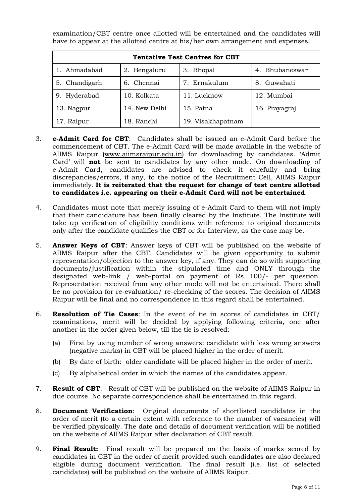examination/CBT centre once allotted will be entertained and the candidates will have to appear at the allotted centre at his/her own arrangement and expenses.

| <b>Tentative Test Centres for CBT</b> |               |                   |                |  |
|---------------------------------------|---------------|-------------------|----------------|--|
| 1. Ahmadabad                          | 2. Bengaluru  | 3. Bhopal         | 4. Bhubaneswar |  |
| 5. Chandigarh                         | 6. Chennai    | 7. Ernakulum      | 8. Guwahati    |  |
| 9. Hyderabad                          | 10. Kolkata   | 11. Lucknow       | 12. Mumbai     |  |
| 13. Nagpur                            | 14. New Delhi | 15. Patna         | 16. Prayagraj  |  |
| 17. Raipur                            | 18. Ranchi    | 19. Visakhapatnam |                |  |

- 3. e-Admit Card for CBT: Candidates shall be issued an e-Admit Card before the commencement of CBT. The e-Admit Card will be made available in the website of AIIMS Raipur (www.aiimsraipur.edu.in) for downloading by candidates. 'Admit Card' will not be sent to candidates by any other mode. On downloading of e-Admit Card, candidates are advised to check it carefully and bring discrepancies/errors, if any, to the notice of the Recruitment Cell, AIIMS Raipur immediately. It is reiterated that the request for change of test centre allotted to candidates i.e. appearing on their e-Admit Card will not be entertained.
- 4. Candidates must note that merely issuing of e-Admit Card to them will not imply that their candidature has been finally cleared by the Institute. The Institute will take up verification of eligibility conditions with reference to original documents only after the candidate qualifies the CBT or for Interview, as the case may be.
- 5. Answer Keys of CBT: Answer keys of CBT will be published on the website of AIIMS Raipur after the CBT. Candidates will be given opportunity to submit representation/objection to the answer key, if any. They can do so with supporting documents/justification within the stipulated time and ONLY through the designated web-link / web-portal on payment of Rs 100/- per question. Representation received from any other mode will not be entertained. There shall be no provision for re-evaluation/ re-checking of the scores. The decision of AIIMS Raipur will be final and no correspondence in this regard shall be entertained.
- 6. Resolution of Tie Cases: In the event of tie in scores of candidates in CBT/ examinations, merit will be decided by applying following criteria, one after another in the order given below, till the tie is resolved:-
	- (a) First by using number of wrong answers: candidate with less wrong answers (negative marks) in CBT will be placed higher in the order of merit.
	- (b) By date of birth: older candidate will be placed higher in the order of merit.
	- (c) By alphabetical order in which the names of the candidates appear.
- 7. Result of CBT: Result of CBT will be published on the website of AIIMS Raipur in due course. No separate correspondence shall be entertained in this regard.
- 8. Document Verification: Original documents of shortlisted candidates in the order of merit (to a certain extent with reference to the number of vacancies) will be verified physically. The date and details of document verification will be notified on the website of AIIMS Raipur after declaration of CBT result.
- 9. **Final Result:** Final result will be prepared on the basis of marks scored by candidates in CBT in the order of merit provided such candidates are also declared eligible during document verification. The final result (i.e. list of selected candidates) will be published on the website of AIIMS Raipur.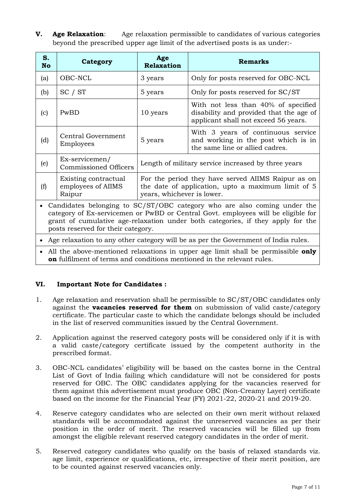**V.** Age Relaxation: Age relaxation permissible to candidates of various categories beyond the prescribed upper age limit of the advertised posts is as under:-

| S.<br><b>No</b> | Category                                             | Age<br><b>Relaxation</b>                                                                                                               | <b>Remarks</b>                                                                                                         |
|-----------------|------------------------------------------------------|----------------------------------------------------------------------------------------------------------------------------------------|------------------------------------------------------------------------------------------------------------------------|
| (a)             | OBC-NCL                                              | 3 years                                                                                                                                | Only for posts reserved for OBC-NCL                                                                                    |
| (b)             | SC / ST                                              | 5 years                                                                                                                                | Only for posts reserved for SC/ST                                                                                      |
| (c)             | PwBD                                                 | 10 years                                                                                                                               | With not less than 40% of specified<br>disability and provided that the age of<br>applicant shall not exceed 56 years. |
| (d)             | <b>Central Government</b><br>Employees               | 5 years                                                                                                                                | With 3 years of continuous service<br>and working in the post which is in<br>the same line or allied cadres.           |
| (e)             | Ex-servicemen/<br><b>Commissioned Officers</b>       | Length of military service increased by three years                                                                                    |                                                                                                                        |
| (f)             | Existing contractual<br>employees of AIIMS<br>Raipur | For the period they have served AIIMS Raipur as on<br>the date of application, upto a maximum limit of 5<br>years, whichever is lower. |                                                                                                                        |

 Candidates belonging to SC/ST/OBC category who are also coming under the category of Ex-servicemen or PwBD or Central Govt. employees will be eligible for grant of cumulative age-relaxation under both categories, if they apply for the posts reserved for their category.

Age relaxation to any other category will be as per the Government of India rules.

• All the above-mentioned relaxations in upper age limit shall be permissible only on fulfilment of terms and conditions mentioned in the relevant rules.

### VI. Important Note for Candidates :

- 1. Age relaxation and reservation shall be permissible to SC/ST/OBC candidates only against the **vacancies reserved for them** on submission of valid caste/category certificate. The particular caste to which the candidate belongs should be included in the list of reserved communities issued by the Central Government.
- 2. Application against the reserved category posts will be considered only if it is with a valid caste/category certificate issued by the competent authority in the prescribed format.
- 3. OBC-NCL candidates' eligibility will be based on the castes borne in the Central List of Govt of India failing which candidature will not be considered for posts reserved for OBC. The OBC candidates applying for the vacancies reserved for them against this advertisement must produce OBC (Non-Creamy Layer) certificate based on the income for the Financial Year (FY) 2021-22, 2020-21 and 2019-20.
- 4. Reserve category candidates who are selected on their own merit without relaxed standards will be accommodated against the unreserved vacancies as per their position in the order of merit. The reserved vacancies will be filled up from amongst the eligible relevant reserved category candidates in the order of merit.
- 5. Reserved category candidates who qualify on the basis of relaxed standards viz. age limit, experience or qualifications, etc, irrespective of their merit position, are to be counted against reserved vacancies only.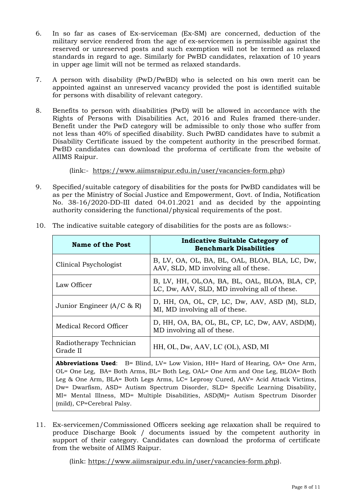- 6. In so far as cases of Ex-serviceman (Ex-SM) are concerned, deduction of the military service rendered from the age of ex-servicemen is permissible against the reserved or unreserved posts and such exemption will not be termed as relaxed standards in regard to age. Similarly for PwBD candidates, relaxation of 10 years in upper age limit will not be termed as relaxed standards.
- 7. A person with disability (PwD/PwBD) who is selected on his own merit can be appointed against an unreserved vacancy provided the post is identified suitable for persons with disability of relevant category.
- 8. Benefits to person with disabilities (PwD) will be allowed in accordance with the Rights of Persons with Disabilities Act, 2016 and Rules framed there-under. Benefit under the PwD category will be admissible to only those who suffer from not less than 40% of specified disability. Such PwBD candidates have to submit a Disability Certificate issued by the competent authority in the prescribed format. PwBD candidates can download the proforma of certificate from the website of AIIMS Raipur.

(link:- https://www.aiimsraipur.edu.in/user/vacancies-form.php)

9. Specified/suitable category of disabilities for the posts for PwBD candidates will be as per the Ministry of Social Justice and Empowerment, Govt. of India, Notification No. 38-16/2020-DD-III dated 04.01.2021 and as decided by the appointing authority considering the functional/physical requirements of the post.

| <b>Name of the Post</b>             | <b>Indicative Suitable Category of</b><br><b>Benchmark Disabilities</b>                        |
|-------------------------------------|------------------------------------------------------------------------------------------------|
| Clinical Psychologist               | B, LV, OA, OL, BA, BL, OAL, BLOA, BLA, LC, Dw,<br>AAV, SLD, MD involving all of these.         |
| Law Officer                         | B, LV, HH, OL, OA, BA, BL, OAL, BLOA, BLA, CP,<br>LC, Dw, AAV, SLD, MD involving all of these. |
| Junior Engineer $(A/C \& R)$        | D, HH, OA, OL, CP, LC, Dw, AAV, ASD (M), SLD,<br>MI, MD involving all of these.                |
| Medical Record Officer              | D, HH, OA, BA, OL, BL, CP, LC, Dw, AAV, ASD(M),<br>MD involving all of these.                  |
| Radiotherapy Technician<br>Grade II | HH, OL, Dw, AAV, LC (OL), ASD, MI                                                              |

10. The indicative suitable category of disabilities for the posts are as follows:-

Abbreviations Used:  $B = Blind$ ,  $LV = Low Vision$ ,  $HH = Hard$  of Hearing,  $OA = One$  Arm, OL= One Leg, BA= Both Arms, BL= Both Leg, OAL= One Arm and One Leg, BLOA= Both Leg & One Arm, BLA= Both Legs Arms, LC= Leprosy Cured, AAV= Acid Attack Victims, Dw= Dwarfism, ASD= Autism Spectrum Disorder, SLD= Specific Learning Disability, MI= Mental Illness, MD= Multiple Disabilities, ASD(M)= Autism Spectrum Disorder (mild), CP=Cerebral Palsy.

11. Ex-servicemen/Commissioned Officers seeking age relaxation shall be required to produce Discharge Book / documents issued by the competent authority in support of their category. Candidates can download the proforma of certificate from the website of AIIMS Raipur.

(link: https://www.aiimsraipur.edu.in/user/vacancies-form.php).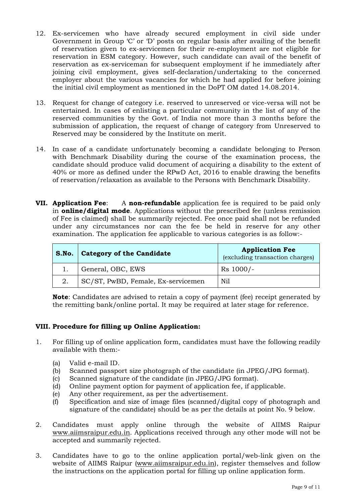- 12. Ex-servicemen who have already secured employment in civil side under Government in Group 'C' or 'D' posts on regular basis after availing of the benefit of reservation given to ex-servicemen for their re-employment are not eligible for reservation in ESM category. However, such candidate can avail of the benefit of reservation as ex-serviceman for subsequent employment if he immediately after joining civil employment, gives self-declaration/undertaking to the concerned employer about the various vacancies for which he had applied for before joining the initial civil employment as mentioned in the DoPT OM dated 14.08.2014.
- 13. Request for change of category i.e. reserved to unreserved or vice-versa will not be entertained. In cases of enlisting a particular community in the list of any of the reserved communities by the Govt. of India not more than 3 months before the submission of application, the request of change of category from Unreserved to Reserved may be considered by the Institute on merit.
- 14. In case of a candidate unfortunately becoming a candidate belonging to Person with Benchmark Disability during the course of the examination process, the candidate should produce valid document of acquiring a disability to the extent of 40% or more as defined under the RPwD Act, 2016 to enable drawing the benefits of reservation/relaxation as available to the Persons with Benchmark Disability.
- VII. Application Fee: A non-refundable application fee is required to be paid only in **online/digital mode**. Applications without the prescribed fee (unless remission of Fee is claimed) shall be summarily rejected. Fee once paid shall not be refunded under any circumstances nor can the fee be held in reserve for any other examination. The application fee applicable to various categories is as follow:-

| S.No.   Category of the Candidate  | <b>Application Fee</b><br>(excluding transaction charges) |
|------------------------------------|-----------------------------------------------------------|
| General, OBC, EWS                  | $Rs$ 1000/-                                               |
| SC/ST, PwBD, Female, Ex-servicemen | Nil                                                       |

Note: Candidates are advised to retain a copy of payment (fee) receipt generated by the remitting bank/online portal. It may be required at later stage for reference.

## VIII. Procedure for filling up Online Application:

- 1. For filling up of online application form, candidates must have the following readily available with them:-
	- (a) Valid e-mail ID.
	- (b) Scanned passport size photograph of the candidate (in JPEG/JPG format).
	- (c) Scanned signature of the candidate (in JPEG/JPG format).
	- (d) Online payment option for payment of application fee, if applicable.
	- (e) Any other requirement, as per the advertisement.
	- (f) Specification and size of image files (scanned/digital copy of photograph and signature of the candidate) should be as per the details at point No. 9 below.
- 2. Candidates must apply online through the website of AIIMS Raipur www.aiimsraipur.edu.in. Applications received through any other mode will not be accepted and summarily rejected.
- 3. Candidates have to go to the online application portal/web-link given on the website of AIIMS Raipur (www.aiimsraipur.edu.in), register themselves and follow the instructions on the application portal for filling up online application form.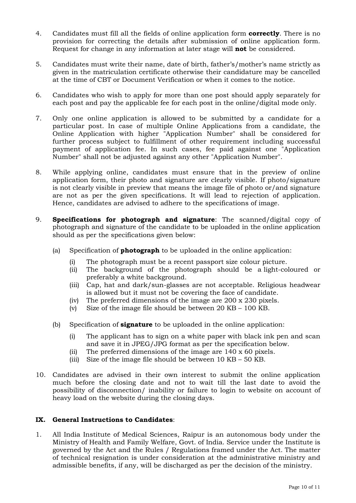- 4. Candidates must fill all the fields of online application form **correctly**. There is no provision for correcting the details after submission of online application form. Request for change in any information at later stage will **not** be considered.
- 5. Candidates must write their name, date of birth, father's/mother's name strictly as given in the matriculation certificate otherwise their candidature may be cancelled at the time of CBT or Document Verification or when it comes to the notice.
- 6. Candidates who wish to apply for more than one post should apply separately for each post and pay the applicable fee for each post in the online/digital mode only.
- 7. Only one online application is allowed to be submitted by a candidate for a particular post. In case of multiple Online Applications from a candidate, the Online Application with higher "Application Number" shall be considered for further process subject to fulfillment of other requirement including successful payment of application fee. In such cases, fee paid against one "Application Number" shall not be adjusted against any other "Application Number".
- 8. While applying online, candidates must ensure that in the preview of online application form, their photo and signature are clearly visible. If photo/signature is not clearly visible in preview that means the image file of photo or/and signature are not as per the given specifications. It will lead to rejection of application. Hence, candidates are advised to adhere to the specifications of image.
- 9. **Specifications for photograph and signature**: The scanned/digital copy of photograph and signature of the candidate to be uploaded in the online application should as per the specifications given below:
	- (a) Specification of **photograph** to be uploaded in the online application:
		- (i) The photograph must be a recent passport size colour picture.
		- (ii) The background of the photograph should be a light-coloured or preferably a white background.
		- (iii) Cap, hat and dark/sun-glasses are not acceptable. Religious headwear is allowed but it must not be covering the face of candidate.
		- (iv) The preferred dimensions of the image are 200 x 230 pixels.
		- (v) Size of the image file should be between 20 KB 100 KB.
	- (b) Specification of **signature** to be uploaded in the online application:
		- (i) The applicant has to sign on a white paper with black ink pen and scan and save it in JPEG/JPG format as per the specification below.
		- (ii) The preferred dimensions of the image are 140 x 60 pixels.
		- (iii) Size of the image file should be between 10 KB 50 KB.
- 10. Candidates are advised in their own interest to submit the online application much before the closing date and not to wait till the last date to avoid the possibility of disconnection/ inability or failure to login to website on account of heavy load on the website during the closing days.

#### IX. General Instructions to Candidates:

1. All India Institute of Medical Sciences, Raipur is an autonomous body under the Ministry of Health and Family Welfare, Govt. of India. Service under the Institute is governed by the Act and the Rules / Regulations framed under the Act. The matter of technical resignation is under consideration at the administrative ministry and admissible benefits, if any, will be discharged as per the decision of the ministry.